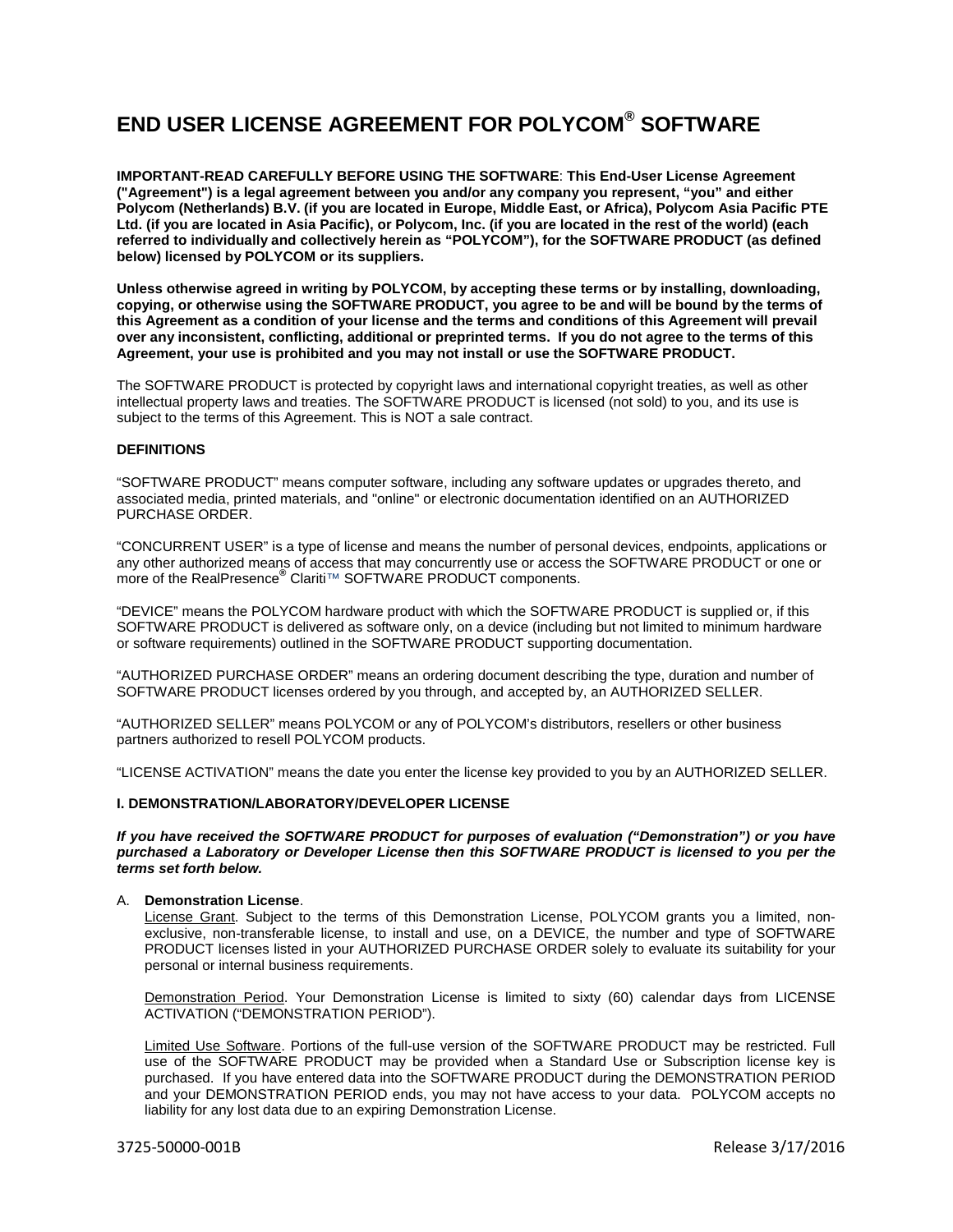# **END USER LICENSE AGREEMENT FOR POLYCOM® SOFTWARE**

**IMPORTANT-READ CAREFULLY BEFORE USING THE SOFTWARE**: **This End-User License Agreement ("Agreement") is a legal agreement between you and/or any company you represent, "you" and either Polycom (Netherlands) B.V. (if you are located in Europe, Middle East, or Africa), Polycom Asia Pacific PTE Ltd. (if you are located in Asia Pacific), or Polycom, Inc. (if you are located in the rest of the world) (each referred to individually and collectively herein as "POLYCOM"), for the SOFTWARE PRODUCT (as defined below) licensed by POLYCOM or its suppliers.**

**Unless otherwise agreed in writing by POLYCOM, by accepting these terms or by installing, downloading, copying, or otherwise using the SOFTWARE PRODUCT, you agree to be and will be bound by the terms of this Agreement as a condition of your license and the terms and conditions of this Agreement will prevail over any inconsistent, conflicting, additional or preprinted terms. If you do not agree to the terms of this Agreement, your use is prohibited and you may not install or use the SOFTWARE PRODUCT.**

The SOFTWARE PRODUCT is protected by copyright laws and international copyright treaties, as well as other intellectual property laws and treaties. The SOFTWARE PRODUCT is licensed (not sold) to you, and its use is subject to the terms of this Agreement. This is NOT a sale contract.

# **DEFINITIONS**

"SOFTWARE PRODUCT" means computer software, including any software updates or upgrades thereto, and associated media, printed materials, and "online" or electronic documentation identified on an AUTHORIZED PURCHASE ORDER.

"CONCURRENT USER" is a type of license and means the number of personal devices, endpoints, applications or any other authorized means of access that may concurrently use or access the SOFTWARE PRODUCT or one or more of the RealPresence**®** Clariti™ SOFTWARE PRODUCT components.

"DEVICE" means the POLYCOM hardware product with which the SOFTWARE PRODUCT is supplied or, if this SOFTWARE PRODUCT is delivered as software only, on a device (including but not limited to minimum hardware or software requirements) outlined in the SOFTWARE PRODUCT supporting documentation.

"AUTHORIZED PURCHASE ORDER" means an ordering document describing the type, duration and number of SOFTWARE PRODUCT licenses ordered by you through, and accepted by, an AUTHORIZED SELLER.

"AUTHORIZED SELLER" means POLYCOM or any of POLYCOM's distributors, resellers or other business partners authorized to resell POLYCOM products.

"LICENSE ACTIVATION" means the date you enter the license key provided to you by an AUTHORIZED SELLER.

# **I. DEMONSTRATION/LABORATORY/DEVELOPER LICENSE**

*If you have received the SOFTWARE PRODUCT for purposes of evaluation ("Demonstration") or you have purchased a Laboratory or Developer License then this SOFTWARE PRODUCT is licensed to you per the terms set forth below.*

#### A. **Demonstration License**.

License Grant. Subject to the terms of this Demonstration License, POLYCOM grants you a limited, nonexclusive, non-transferable license, to install and use, on a DEVICE, the number and type of SOFTWARE PRODUCT licenses listed in your AUTHORIZED PURCHASE ORDER solely to evaluate its suitability for your personal or internal business requirements.

Demonstration Period. Your Demonstration License is limited to sixty (60) calendar days from LICENSE ACTIVATION ("DEMONSTRATION PERIOD").

Limited Use Software. Portions of the full-use version of the SOFTWARE PRODUCT may be restricted. Full use of the SOFTWARE PRODUCT may be provided when a Standard Use or Subscription license key is purchased. If you have entered data into the SOFTWARE PRODUCT during the DEMONSTRATION PERIOD and your DEMONSTRATION PERIOD ends, you may not have access to your data. POLYCOM accepts no liability for any lost data due to an expiring Demonstration License.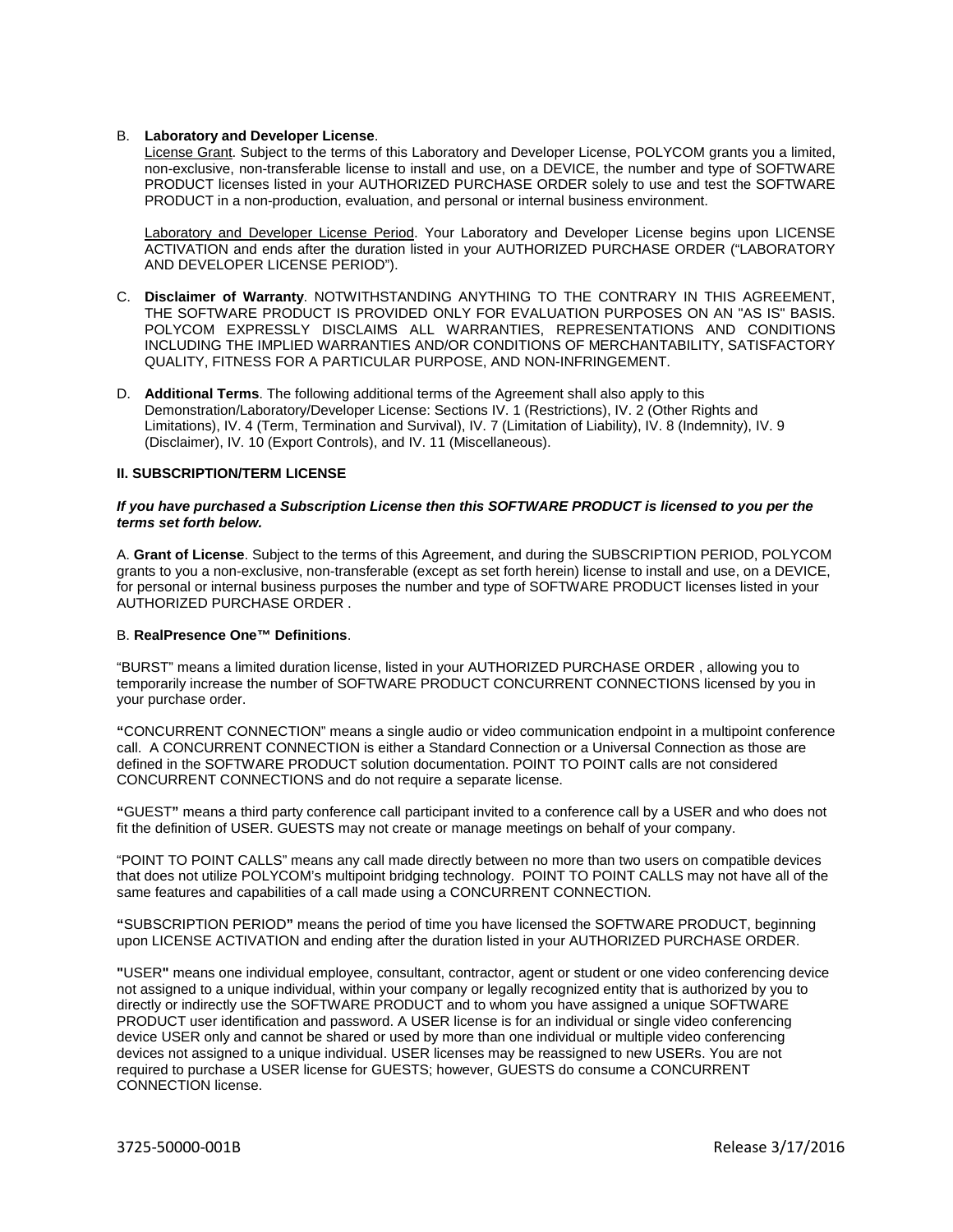#### B. **Laboratory and Developer License**.

License Grant. Subject to the terms of this Laboratory and Developer License, POLYCOM grants you a limited, non-exclusive, non-transferable license to install and use, on a DEVICE, the number and type of SOFTWARE PRODUCT licenses listed in your AUTHORIZED PURCHASE ORDER solely to use and test the SOFTWARE PRODUCT in a non-production, evaluation, and personal or internal business environment.

Laboratory and Developer License Period. Your Laboratory and Developer License begins upon LICENSE ACTIVATION and ends after the duration listed in your AUTHORIZED PURCHASE ORDER ("LABORATORY AND DEVELOPER LICENSE PERIOD").

- C. **Disclaimer of Warranty**. NOTWITHSTANDING ANYTHING TO THE CONTRARY IN THIS AGREEMENT, THE SOFTWARE PRODUCT IS PROVIDED ONLY FOR EVALUATION PURPOSES ON AN "AS IS" BASIS. POLYCOM EXPRESSLY DISCLAIMS ALL WARRANTIES, REPRESENTATIONS AND CONDITIONS INCLUDING THE IMPLIED WARRANTIES AND/OR CONDITIONS OF MERCHANTABILITY, SATISFACTORY QUALITY, FITNESS FOR A PARTICULAR PURPOSE, AND NON-INFRINGEMENT.
- D. **Additional Terms**. The following additional terms of the Agreement shall also apply to this Demonstration/Laboratory/Developer License: Sections IV. 1 (Restrictions), IV. 2 (Other Rights and Limitations), IV. 4 (Term, Termination and Survival), IV. 7 (Limitation of Liability), IV. 8 (Indemnity), IV. 9 (Disclaimer), IV. 10 (Export Controls), and IV. 11 (Miscellaneous).

## **II. SUBSCRIPTION/TERM LICENSE**

## *If you have purchased a Subscription License then this SOFTWARE PRODUCT is licensed to you per the terms set forth below.*

A. **Grant of License**. Subject to the terms of this Agreement, and during the SUBSCRIPTION PERIOD, POLYCOM grants to you a non-exclusive, non-transferable (except as set forth herein) license to install and use, on a DEVICE, for personal or internal business purposes the number and type of SOFTWARE PRODUCT licenses listed in your AUTHORIZED PURCHASE ORDER .

#### B. **RealPresence One™ Definitions**.

"BURST" means a limited duration license, listed in your AUTHORIZED PURCHASE ORDER , allowing you to temporarily increase the number of SOFTWARE PRODUCT CONCURRENT CONNECTIONS licensed by you in your purchase order.

**"**CONCURRENT CONNECTION" means a single audio or video communication endpoint in a multipoint conference call. A CONCURRENT CONNECTION is either a Standard Connection or a Universal Connection as those are defined in the SOFTWARE PRODUCT solution documentation. POINT TO POINT calls are not considered CONCURRENT CONNECTIONS and do not require a separate license.

**"**GUEST**"** means a third party conference call participant invited to a conference call by a USER and who does not fit the definition of USER. GUESTS may not create or manage meetings on behalf of your company.

"POINT TO POINT CALLS" means any call made directly between no more than two users on compatible devices that does not utilize POLYCOM's multipoint bridging technology. POINT TO POINT CALLS may not have all of the same features and capabilities of a call made using a CONCURRENT CONNECTION.

**"**SUBSCRIPTION PERIOD**"** means the period of time you have licensed the SOFTWARE PRODUCT, beginning upon LICENSE ACTIVATION and ending after the duration listed in your AUTHORIZED PURCHASE ORDER.

**"**USER**"** means one individual employee, consultant, contractor, agent or student or one video conferencing device not assigned to a unique individual, within your company or legally recognized entity that is authorized by you to directly or indirectly use the SOFTWARE PRODUCT and to whom you have assigned a unique SOFTWARE PRODUCT user identification and password. A USER license is for an individual or single video conferencing device USER only and cannot be shared or used by more than one individual or multiple video conferencing devices not assigned to a unique individual. USER licenses may be reassigned to new USERs. You are not required to purchase a USER license for GUESTS; however, GUESTS do consume a CONCURRENT CONNECTION license.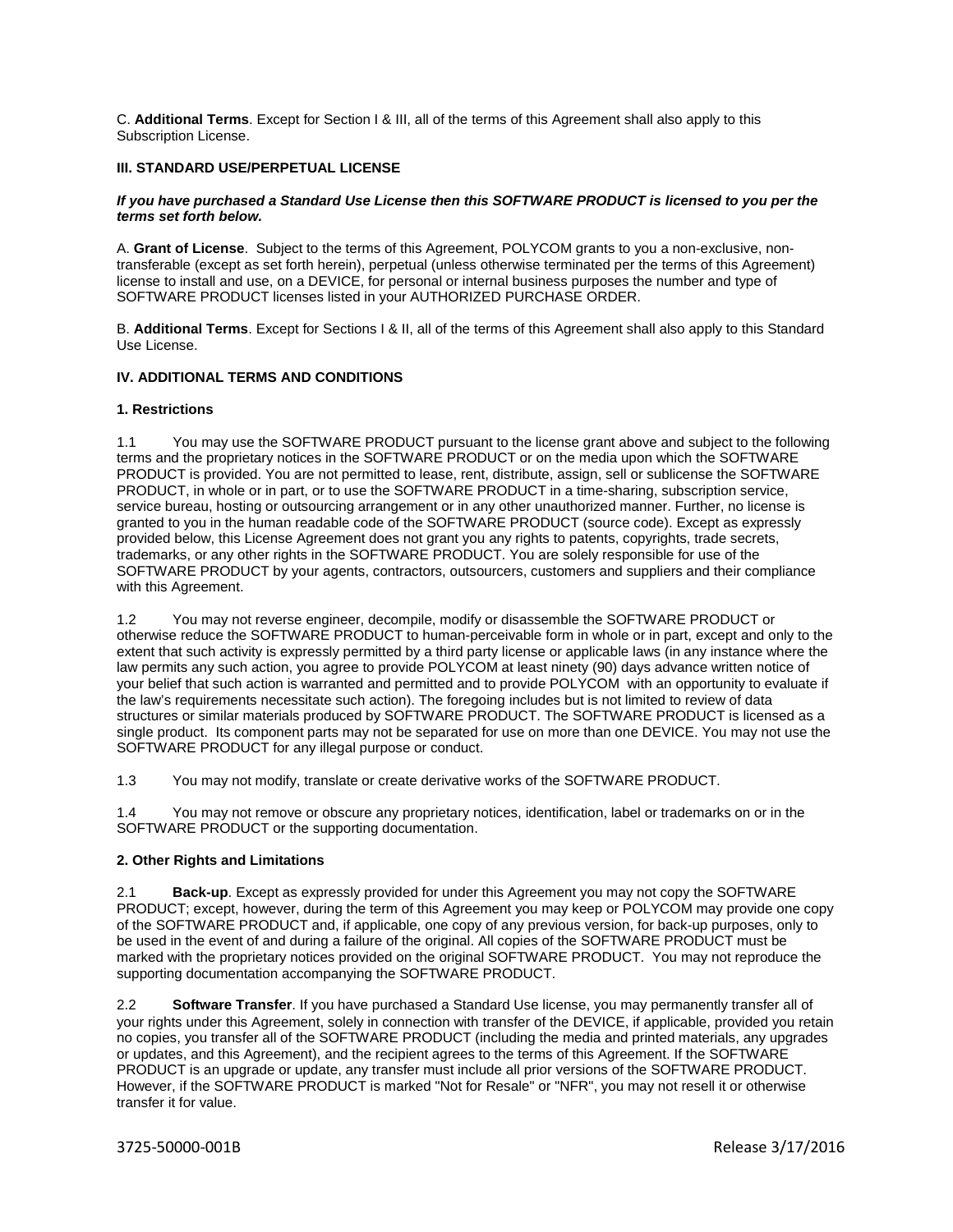C. **Additional Terms**. Except for Section I & III, all of the terms of this Agreement shall also apply to this Subscription License.

## **III. STANDARD USE/PERPETUAL LICENSE**

#### *If you have purchased a Standard Use License then this SOFTWARE PRODUCT is licensed to you per the terms set forth below.*

A. **Grant of License**. Subject to the terms of this Agreement, POLYCOM grants to you a non-exclusive, nontransferable (except as set forth herein), perpetual (unless otherwise terminated per the terms of this Agreement) license to install and use, on a DEVICE, for personal or internal business purposes the number and type of SOFTWARE PRODUCT licenses listed in your AUTHORIZED PURCHASE ORDER.

B. **Additional Terms**. Except for Sections I & II, all of the terms of this Agreement shall also apply to this Standard Use License.

# **IV. ADDITIONAL TERMS AND CONDITIONS**

#### **1. Restrictions**

1.1 You may use the SOFTWARE PRODUCT pursuant to the license grant above and subject to the following terms and the proprietary notices in the SOFTWARE PRODUCT or on the media upon which the SOFTWARE PRODUCT is provided. You are not permitted to lease, rent, distribute, assign, sell or sublicense the SOFTWARE PRODUCT, in whole or in part, or to use the SOFTWARE PRODUCT in a time-sharing, subscription service, service bureau, hosting or outsourcing arrangement or in any other unauthorized manner. Further, no license is granted to you in the human readable code of the SOFTWARE PRODUCT (source code). Except as expressly provided below, this License Agreement does not grant you any rights to patents, copyrights, trade secrets, trademarks, or any other rights in the SOFTWARE PRODUCT. You are solely responsible for use of the SOFTWARE PRODUCT by your agents, contractors, outsourcers, customers and suppliers and their compliance with this Agreement.

1.2 You may not reverse engineer, decompile, modify or disassemble the SOFTWARE PRODUCT or otherwise reduce the SOFTWARE PRODUCT to human-perceivable form in whole or in part, except and only to the extent that such activity is expressly permitted by a third party license or applicable laws (in any instance where the law permits any such action, you agree to provide POLYCOM at least ninety (90) days advance written notice of your belief that such action is warranted and permitted and to provide POLYCOM with an opportunity to evaluate if the law's requirements necessitate such action). The foregoing includes but is not limited to review of data structures or similar materials produced by SOFTWARE PRODUCT. The SOFTWARE PRODUCT is licensed as a single product. Its component parts may not be separated for use on more than one DEVICE. You may not use the SOFTWARE PRODUCT for any illegal purpose or conduct.

1.3 You may not modify, translate or create derivative works of the SOFTWARE PRODUCT.

1.4 You may not remove or obscure any proprietary notices, identification, label or trademarks on or in the SOFTWARE PRODUCT or the supporting documentation.

## **2. Other Rights and Limitations**

2.1 **Back-up**. Except as expressly provided for under this Agreement you may not copy the SOFTWARE PRODUCT; except, however, during the term of this Agreement you may keep or POLYCOM may provide one copy of the SOFTWARE PRODUCT and, if applicable, one copy of any previous version, for back-up purposes, only to be used in the event of and during a failure of the original. All copies of the SOFTWARE PRODUCT must be marked with the proprietary notices provided on the original SOFTWARE PRODUCT. You may not reproduce the supporting documentation accompanying the SOFTWARE PRODUCT.

2.2 **Software Transfer**. If you have purchased a Standard Use license, you may permanently transfer all of your rights under this Agreement, solely in connection with transfer of the DEVICE, if applicable, provided you retain no copies, you transfer all of the SOFTWARE PRODUCT (including the media and printed materials, any upgrades or updates, and this Agreement), and the recipient agrees to the terms of this Agreement. If the SOFTWARE PRODUCT is an upgrade or update, any transfer must include all prior versions of the SOFTWARE PRODUCT. However, if the SOFTWARE PRODUCT is marked "Not for Resale" or "NFR", you may not resell it or otherwise transfer it for value.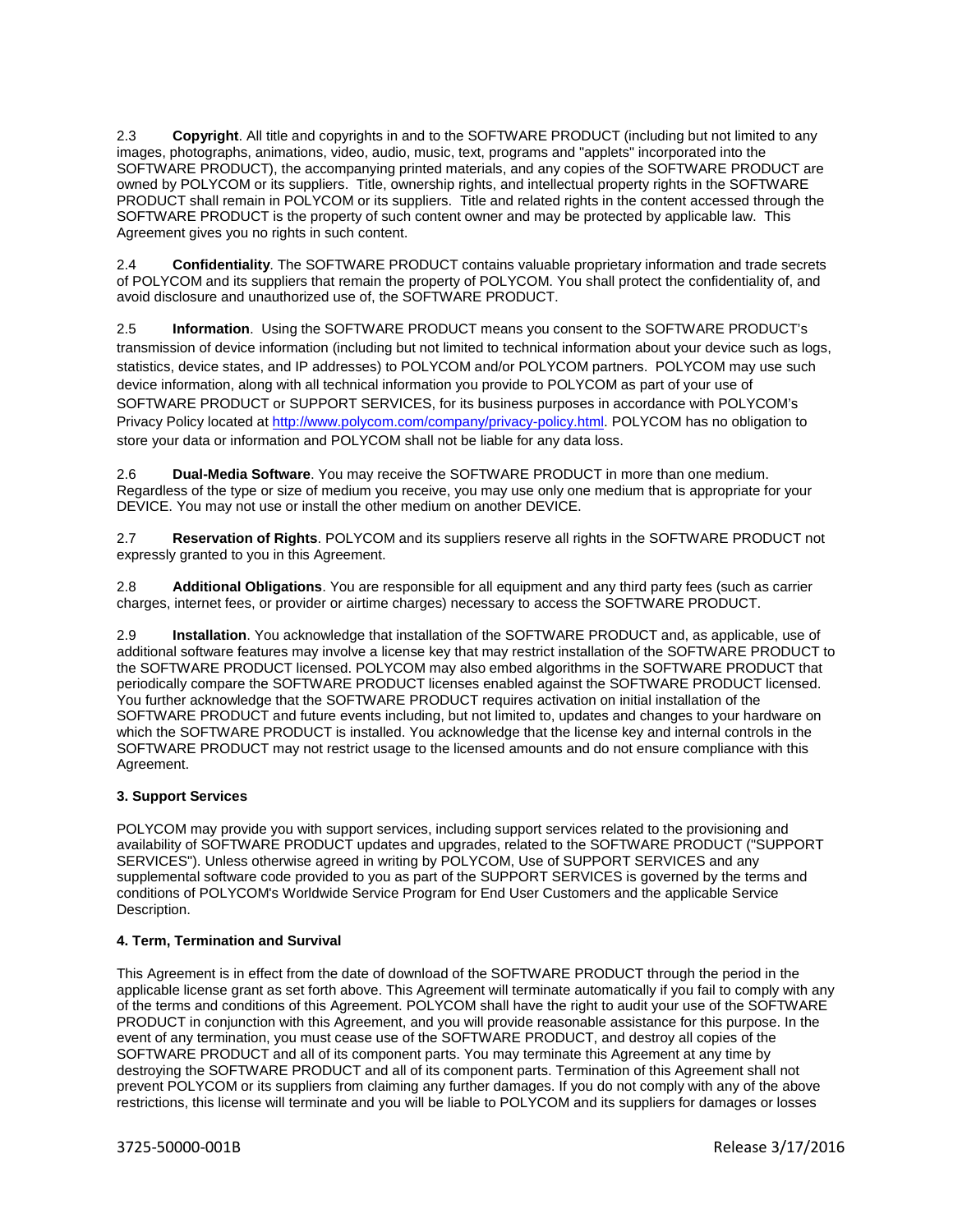2.3 **Copyright**. All title and copyrights in and to the SOFTWARE PRODUCT (including but not limited to any images, photographs, animations, video, audio, music, text, programs and "applets" incorporated into the SOFTWARE PRODUCT), the accompanying printed materials, and any copies of the SOFTWARE PRODUCT are owned by POLYCOM or its suppliers. Title, ownership rights, and intellectual property rights in the SOFTWARE PRODUCT shall remain in POLYCOM or its suppliers. Title and related rights in the content accessed through the SOFTWARE PRODUCT is the property of such content owner and may be protected by applicable law. This Agreement gives you no rights in such content.

2.4 **Confidentiality**. The SOFTWARE PRODUCT contains valuable proprietary information and trade secrets of POLYCOM and its suppliers that remain the property of POLYCOM. You shall protect the confidentiality of, and avoid disclosure and unauthorized use of, the SOFTWARE PRODUCT.

2.5 **Information**. Using the SOFTWARE PRODUCT means you consent to the SOFTWARE PRODUCT's transmission of device information (including but not limited to technical information about your device such as logs, statistics, device states, and IP addresses) to POLYCOM and/or POLYCOM partners. POLYCOM may use such device information, along with all technical information you provide to POLYCOM as part of your use of SOFTWARE PRODUCT or SUPPORT SERVICES, for its business purposes in accordance with POLYCOM's Privacy Policy located at [http://www.polycom.com/company/privacy-policy.html.](http://www.polycom.com/company/privacy-policy.html) POLYCOM has no obligation to store your data or information and POLYCOM shall not be liable for any data loss.

2.6 **Dual-Media Software**. You may receive the SOFTWARE PRODUCT in more than one medium. Regardless of the type or size of medium you receive, you may use only one medium that is appropriate for your DEVICE. You may not use or install the other medium on another DEVICE.

2.7 **Reservation of Rights**. POLYCOM and its suppliers reserve all rights in the SOFTWARE PRODUCT not expressly granted to you in this Agreement.

2.8 **Additional Obligations**. You are responsible for all equipment and any third party fees (such as carrier charges, internet fees, or provider or airtime charges) necessary to access the SOFTWARE PRODUCT.

2.9 **Installation**. You acknowledge that installation of the SOFTWARE PRODUCT and, as applicable, use of additional software features may involve a license key that may restrict installation of the SOFTWARE PRODUCT to the SOFTWARE PRODUCT licensed. POLYCOM may also embed algorithms in the SOFTWARE PRODUCT that periodically compare the SOFTWARE PRODUCT licenses enabled against the SOFTWARE PRODUCT licensed. You further acknowledge that the SOFTWARE PRODUCT requires activation on initial installation of the SOFTWARE PRODUCT and future events including, but not limited to, updates and changes to your hardware on which the SOFTWARE PRODUCT is installed. You acknowledge that the license key and internal controls in the SOFTWARE PRODUCT may not restrict usage to the licensed amounts and do not ensure compliance with this Agreement.

# **3. Support Services**

POLYCOM may provide you with support services, including support services related to the provisioning and availability of SOFTWARE PRODUCT updates and upgrades, related to the SOFTWARE PRODUCT ("SUPPORT SERVICES"). Unless otherwise agreed in writing by POLYCOM, Use of SUPPORT SERVICES and any supplemental software code provided to you as part of the SUPPORT SERVICES is governed by the terms and conditions of POLYCOM's Worldwide Service Program for End User Customers and the applicable Service Description.

## **4. Term, Termination and Survival**

This Agreement is in effect from the date of download of the SOFTWARE PRODUCT through the period in the applicable license grant as set forth above. This Agreement will terminate automatically if you fail to comply with any of the terms and conditions of this Agreement. POLYCOM shall have the right to audit your use of the SOFTWARE PRODUCT in conjunction with this Agreement, and you will provide reasonable assistance for this purpose. In the event of any termination, you must cease use of the SOFTWARE PRODUCT, and destroy all copies of the SOFTWARE PRODUCT and all of its component parts. You may terminate this Agreement at any time by destroying the SOFTWARE PRODUCT and all of its component parts. Termination of this Agreement shall not prevent POLYCOM or its suppliers from claiming any further damages. If you do not comply with any of the above restrictions, this license will terminate and you will be liable to POLYCOM and its suppliers for damages or losses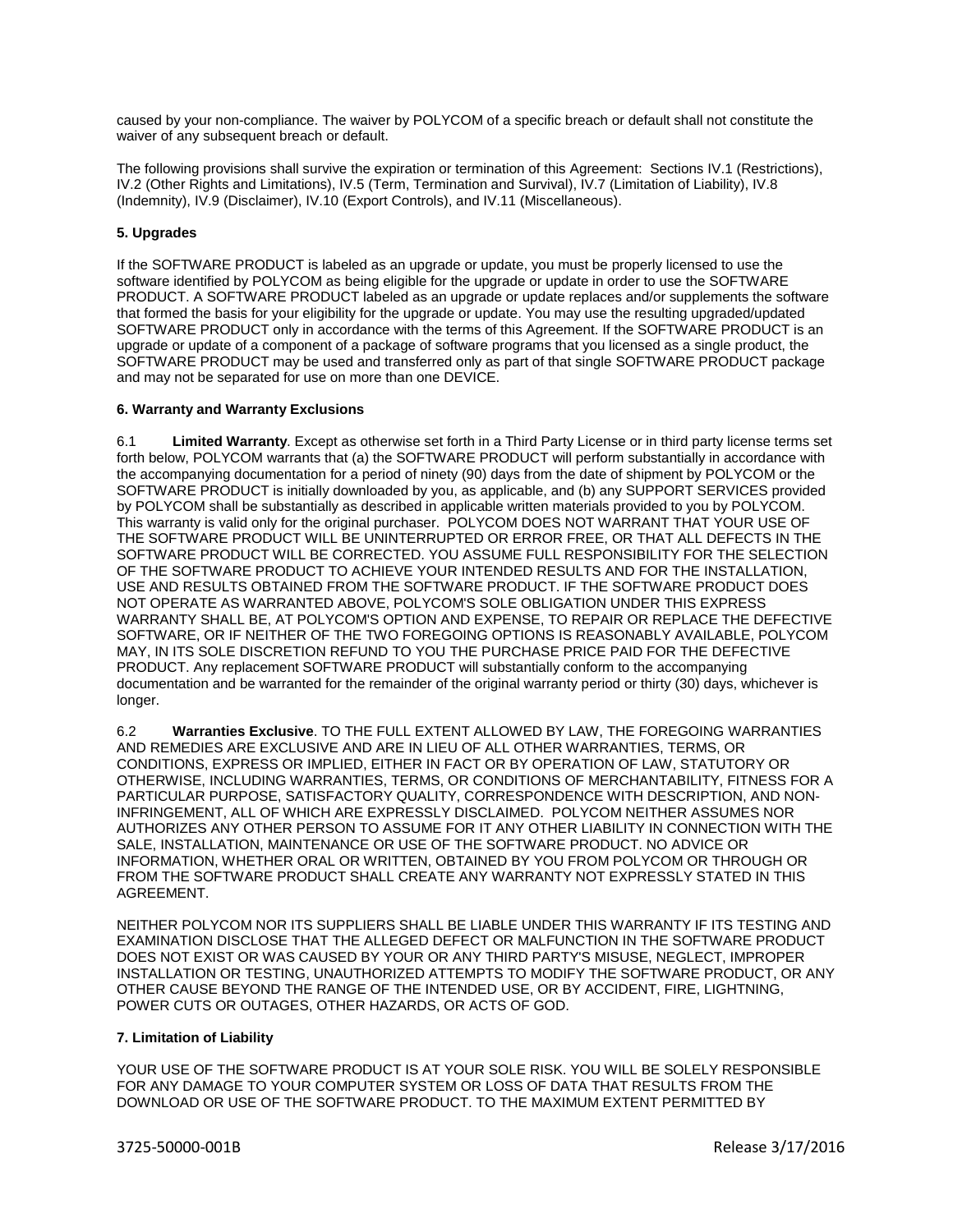caused by your non-compliance. The waiver by POLYCOM of a specific breach or default shall not constitute the waiver of any subsequent breach or default.

The following provisions shall survive the expiration or termination of this Agreement: Sections IV.1 (Restrictions), IV.2 (Other Rights and Limitations), IV.5 (Term, Termination and Survival), IV.7 (Limitation of Liability), IV.8 (Indemnity), IV.9 (Disclaimer), IV.10 (Export Controls), and IV.11 (Miscellaneous).

# **5. Upgrades**

If the SOFTWARE PRODUCT is labeled as an upgrade or update, you must be properly licensed to use the software identified by POLYCOM as being eligible for the upgrade or update in order to use the SOFTWARE PRODUCT. A SOFTWARE PRODUCT labeled as an upgrade or update replaces and/or supplements the software that formed the basis for your eligibility for the upgrade or update. You may use the resulting upgraded/updated SOFTWARE PRODUCT only in accordance with the terms of this Agreement. If the SOFTWARE PRODUCT is an upgrade or update of a component of a package of software programs that you licensed as a single product, the SOFTWARE PRODUCT may be used and transferred only as part of that single SOFTWARE PRODUCT package and may not be separated for use on more than one DEVICE.

## **6. Warranty and Warranty Exclusions**

6.1 **Limited Warranty**. Except as otherwise set forth in a Third Party License or in third party license terms set forth below, POLYCOM warrants that (a) the SOFTWARE PRODUCT will perform substantially in accordance with the accompanying documentation for a period of ninety (90) days from the date of shipment by POLYCOM or the SOFTWARE PRODUCT is initially downloaded by you, as applicable, and (b) any SUPPORT SERVICES provided by POLYCOM shall be substantially as described in applicable written materials provided to you by POLYCOM. This warranty is valid only for the original purchaser. POLYCOM DOES NOT WARRANT THAT YOUR USE OF THE SOFTWARE PRODUCT WILL BE UNINTERRUPTED OR ERROR FREE, OR THAT ALL DEFECTS IN THE SOFTWARE PRODUCT WILL BE CORRECTED. YOU ASSUME FULL RESPONSIBILITY FOR THE SELECTION OF THE SOFTWARE PRODUCT TO ACHIEVE YOUR INTENDED RESULTS AND FOR THE INSTALLATION, USE AND RESULTS OBTAINED FROM THE SOFTWARE PRODUCT. IF THE SOFTWARE PRODUCT DOES NOT OPERATE AS WARRANTED ABOVE, POLYCOM'S SOLE OBLIGATION UNDER THIS EXPRESS WARRANTY SHALL BE, AT POLYCOM'S OPTION AND EXPENSE, TO REPAIR OR REPLACE THE DEFECTIVE SOFTWARE, OR IF NEITHER OF THE TWO FOREGOING OPTIONS IS REASONABLY AVAILABLE, POLYCOM MAY, IN ITS SOLE DISCRETION REFUND TO YOU THE PURCHASE PRICE PAID FOR THE DEFECTIVE PRODUCT. Any replacement SOFTWARE PRODUCT will substantially conform to the accompanying documentation and be warranted for the remainder of the original warranty period or thirty (30) days, whichever is longer.

6.2 **Warranties Exclusive**. TO THE FULL EXTENT ALLOWED BY LAW, THE FOREGOING WARRANTIES AND REMEDIES ARE EXCLUSIVE AND ARE IN LIEU OF ALL OTHER WARRANTIES, TERMS, OR CONDITIONS, EXPRESS OR IMPLIED, EITHER IN FACT OR BY OPERATION OF LAW, STATUTORY OR OTHERWISE, INCLUDING WARRANTIES, TERMS, OR CONDITIONS OF MERCHANTABILITY, FITNESS FOR A PARTICULAR PURPOSE, SATISFACTORY QUALITY, CORRESPONDENCE WITH DESCRIPTION, AND NON-INFRINGEMENT, ALL OF WHICH ARE EXPRESSLY DISCLAIMED. POLYCOM NEITHER ASSUMES NOR AUTHORIZES ANY OTHER PERSON TO ASSUME FOR IT ANY OTHER LIABILITY IN CONNECTION WITH THE SALE, INSTALLATION, MAINTENANCE OR USE OF THE SOFTWARE PRODUCT. NO ADVICE OR INFORMATION, WHETHER ORAL OR WRITTEN, OBTAINED BY YOU FROM POLYCOM OR THROUGH OR FROM THE SOFTWARE PRODUCT SHALL CREATE ANY WARRANTY NOT EXPRESSLY STATED IN THIS AGREEMENT.

NEITHER POLYCOM NOR ITS SUPPLIERS SHALL BE LIABLE UNDER THIS WARRANTY IF ITS TESTING AND EXAMINATION DISCLOSE THAT THE ALLEGED DEFECT OR MALFUNCTION IN THE SOFTWARE PRODUCT DOES NOT EXIST OR WAS CAUSED BY YOUR OR ANY THIRD PARTY'S MISUSE, NEGLECT, IMPROPER INSTALLATION OR TESTING, UNAUTHORIZED ATTEMPTS TO MODIFY THE SOFTWARE PRODUCT, OR ANY OTHER CAUSE BEYOND THE RANGE OF THE INTENDED USE, OR BY ACCIDENT, FIRE, LIGHTNING, POWER CUTS OR OUTAGES, OTHER HAZARDS, OR ACTS OF GOD.

## **7. Limitation of Liability**

YOUR USE OF THE SOFTWARE PRODUCT IS AT YOUR SOLE RISK. YOU WILL BE SOLELY RESPONSIBLE FOR ANY DAMAGE TO YOUR COMPUTER SYSTEM OR LOSS OF DATA THAT RESULTS FROM THE DOWNLOAD OR USE OF THE SOFTWARE PRODUCT. TO THE MAXIMUM EXTENT PERMITTED BY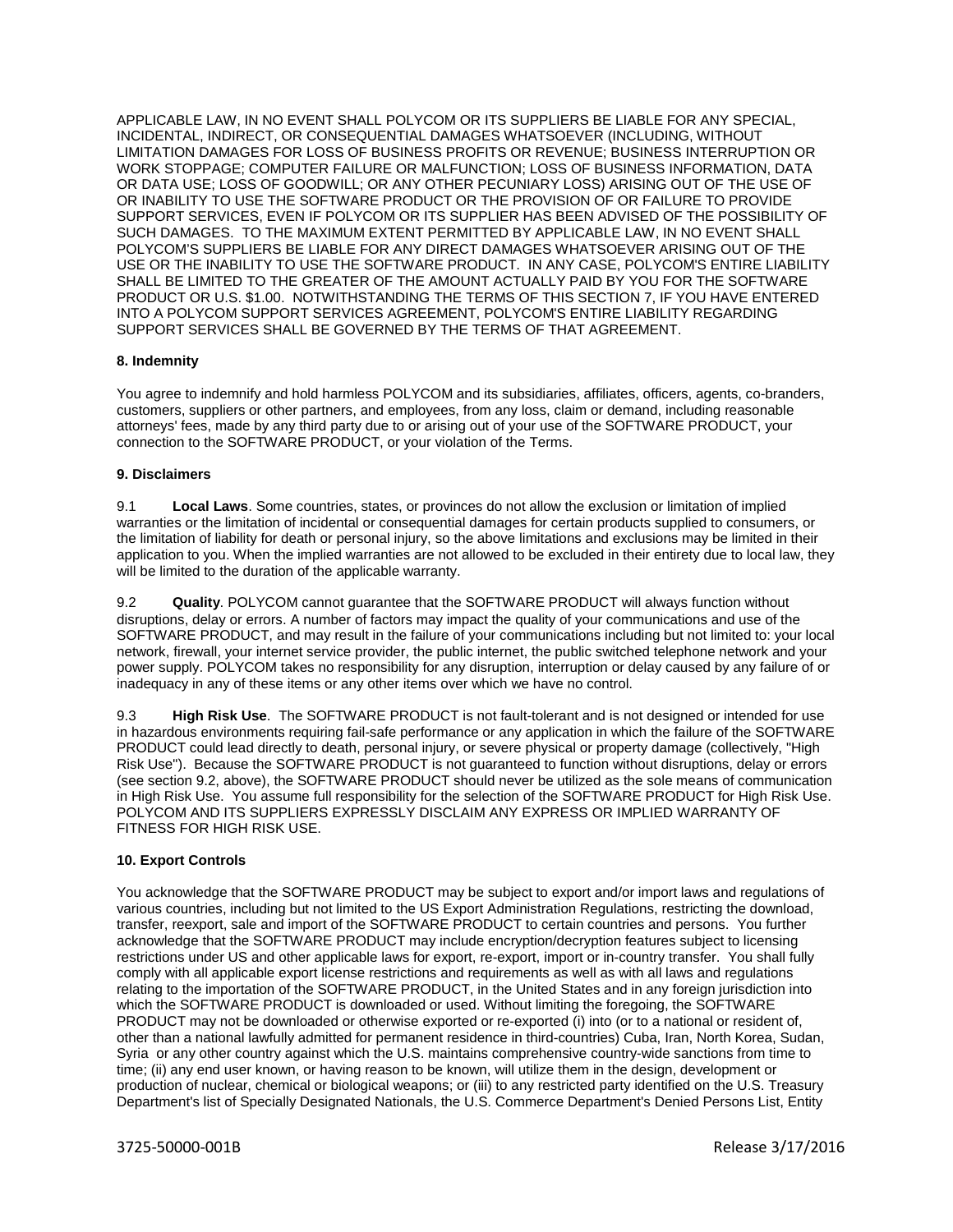APPLICABLE LAW, IN NO EVENT SHALL POLYCOM OR ITS SUPPLIERS BE LIABLE FOR ANY SPECIAL, INCIDENTAL, INDIRECT, OR CONSEQUENTIAL DAMAGES WHATSOEVER (INCLUDING, WITHOUT LIMITATION DAMAGES FOR LOSS OF BUSINESS PROFITS OR REVENUE; BUSINESS INTERRUPTION OR WORK STOPPAGE; COMPUTER FAILURE OR MALFUNCTION; LOSS OF BUSINESS INFORMATION, DATA OR DATA USE; LOSS OF GOODWILL; OR ANY OTHER PECUNIARY LOSS) ARISING OUT OF THE USE OF OR INABILITY TO USE THE SOFTWARE PRODUCT OR THE PROVISION OF OR FAILURE TO PROVIDE SUPPORT SERVICES, EVEN IF POLYCOM OR ITS SUPPLIER HAS BEEN ADVISED OF THE POSSIBILITY OF SUCH DAMAGES. TO THE MAXIMUM EXTENT PERMITTED BY APPLICABLE LAW, IN NO EVENT SHALL POLYCOM'S SUPPLIERS BE LIABLE FOR ANY DIRECT DAMAGES WHATSOEVER ARISING OUT OF THE USE OR THE INABILITY TO USE THE SOFTWARE PRODUCT. IN ANY CASE, POLYCOM'S ENTIRE LIABILITY SHALL BE LIMITED TO THE GREATER OF THE AMOUNT ACTUALLY PAID BY YOU FOR THE SOFTWARE PRODUCT OR U.S. \$1.00. NOTWITHSTANDING THE TERMS OF THIS SECTION 7, IF YOU HAVE ENTERED INTO A POLYCOM SUPPORT SERVICES AGREEMENT, POLYCOM'S ENTIRE LIABILITY REGARDING SUPPORT SERVICES SHALL BE GOVERNED BY THE TERMS OF THAT AGREEMENT.

# **8. Indemnity**

You agree to indemnify and hold harmless POLYCOM and its subsidiaries, affiliates, officers, agents, co-branders, customers, suppliers or other partners, and employees, from any loss, claim or demand, including reasonable attorneys' fees, made by any third party due to or arising out of your use of the SOFTWARE PRODUCT, your connection to the SOFTWARE PRODUCT, or your violation of the Terms.

# **9. Disclaimers**

9.1 **Local Laws**. Some countries, states, or provinces do not allow the exclusion or limitation of implied warranties or the limitation of incidental or consequential damages for certain products supplied to consumers, or the limitation of liability for death or personal injury, so the above limitations and exclusions may be limited in their application to you. When the implied warranties are not allowed to be excluded in their entirety due to local law, they will be limited to the duration of the applicable warranty.

9.2 **Quality**. POLYCOM cannot guarantee that the SOFTWARE PRODUCT will always function without disruptions, delay or errors. A number of factors may impact the quality of your communications and use of the SOFTWARE PRODUCT, and may result in the failure of your communications including but not limited to: your local network, firewall, your internet service provider, the public internet, the public switched telephone network and your power supply. POLYCOM takes no responsibility for any disruption, interruption or delay caused by any failure of or inadequacy in any of these items or any other items over which we have no control.

9.3 **High Risk Use**. The SOFTWARE PRODUCT is not fault-tolerant and is not designed or intended for use in hazardous environments requiring fail-safe performance or any application in which the failure of the SOFTWARE PRODUCT could lead directly to death, personal injury, or severe physical or property damage (collectively, "High Risk Use"). Because the SOFTWARE PRODUCT is not guaranteed to function without disruptions, delay or errors (see section 9.2, above), the SOFTWARE PRODUCT should never be utilized as the sole means of communication in High Risk Use. You assume full responsibility for the selection of the SOFTWARE PRODUCT for High Risk Use. POLYCOM AND ITS SUPPLIERS EXPRESSLY DISCLAIM ANY EXPRESS OR IMPLIED WARRANTY OF FITNESS FOR HIGH RISK USE.

# **10. Export Controls**

You acknowledge that the SOFTWARE PRODUCT may be subject to export and/or import laws and regulations of various countries, including but not limited to the US Export Administration Regulations, restricting the download, transfer, reexport, sale and import of the SOFTWARE PRODUCT to certain countries and persons. You further acknowledge that the SOFTWARE PRODUCT may include encryption/decryption features subject to licensing restrictions under US and other applicable laws for export, re-export, import or in-country transfer. You shall fully comply with all applicable export license restrictions and requirements as well as with all laws and regulations relating to the importation of the SOFTWARE PRODUCT, in the United States and in any foreign jurisdiction into which the SOFTWARE PRODUCT is downloaded or used. Without limiting the foregoing, the SOFTWARE PRODUCT may not be downloaded or otherwise exported or re-exported (i) into (or to a national or resident of, other than a national lawfully admitted for permanent residence in third-countries) Cuba, Iran, North Korea, Sudan, Syria or any other country against which the U.S. maintains comprehensive country-wide sanctions from time to time; (ii) any end user known, or having reason to be known, will utilize them in the design, development or production of nuclear, chemical or biological weapons; or (iii) to any restricted party identified on the U.S. Treasury Department's list of Specially Designated Nationals, the U.S. Commerce Department's Denied Persons List, Entity